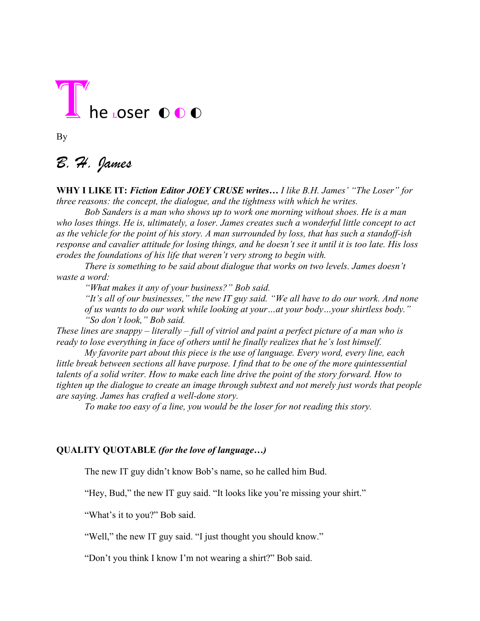

By

## *B. H. James*

**WHY I LIKE IT:** *Fiction Editor JOEY CRUSE writes… I like B.H. James' "The Loser" for three reasons: the concept, the dialogue, and the tightness with which he writes.*

*Bob Sanders is a man who shows up to work one morning without shoes. He is a man who loses things. He is, ultimately, a loser. James creates such a wonderful little concept to act as the vehicle for the point of his story. A man surrounded by loss, that has such a standoff-ish response and cavalier attitude for losing things, and he doesn't see it until it is too late. His loss erodes the foundations of his life that weren't very strong to begin with.* 

*There is something to be said about dialogue that works on two levels. James doesn't waste a word:* 

*"What makes it any of your business?" Bob said.*

*"It's all of our businesses," the new IT guy said. "We all have to do our work. And none of us wants to do our work while looking at your…at your body…your shirtless body." "So don't look," Bob said.*

*These lines are snappy – literally – full of vitriol and paint a perfect picture of a man who is ready to lose everything in face of others until he finally realizes that he's lost himself.* 

*My favorite part about this piece is the use of language. Every word, every line, each little break between sections all have purpose. I find that to be one of the more quintessential talents of a solid writer. How to make each line drive the point of the story forward. How to tighten up the dialogue to create an image through subtext and not merely just words that people are saying. James has crafted a well-done story.* 

*To make too easy of a line, you would be the loser for not reading this story.* 

## **QUALITY QUOTABLE** *(for the love of language…)*

The new IT guy didn't know Bob's name, so he called him Bud.

"Hey, Bud," the new IT guy said. "It looks like you're missing your shirt."

"What's it to you?" Bob said.

"Well," the new IT guy said. "I just thought you should know."

"Don't you think I know I'm not wearing a shirt?" Bob said.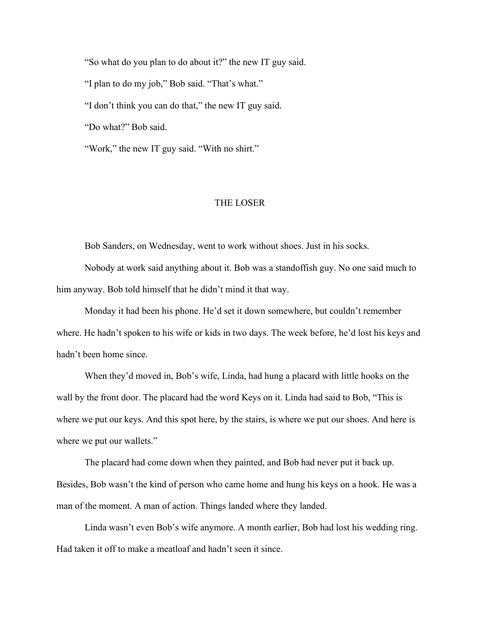"So what do you plan to do about it?" the new IT guy said. "I plan to do my job," Bob said. "That's what." "I don't think you can do that," the new IT guy said. "Do what?" Bob said. "Work," the new IT guy said. "With no shirt."

## THE LOSER

Bob Sanders, on Wednesday, went to work without shoes. Just in his socks.

Nobody at work said anything about it. Bob was a standoffish guy. No one said much to him anyway. Bob told himself that he didn't mind it that way.

Monday it had been his phone. He'd set it down somewhere, but couldn't remember where. He hadn't spoken to his wife or kids in two days. The week before, he'd lost his keys and hadn't been home since.

When they'd moved in, Bob's wife, Linda, had hung a placard with little hooks on the wall by the front door. The placard had the word Keys on it. Linda had said to Bob, "This is where we put our keys. And this spot here, by the stairs, is where we put our shoes. And here is where we put our wallets."

The placard had come down when they painted, and Bob had never put it back up. Besides, Bob wasn't the kind of person who came home and hung his keys on a hook. He was a man of the moment. A man of action. Things landed where they landed.

Linda wasn't even Bob's wife anymore. A month earlier, Bob had lost his wedding ring. Had taken it off to make a meatloaf and hadn't seen it since.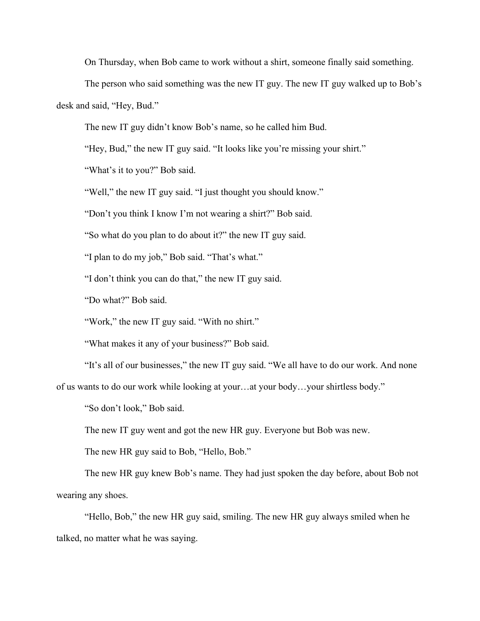On Thursday, when Bob came to work without a shirt, someone finally said something.

The person who said something was the new IT guy. The new IT guy walked up to Bob's desk and said, "Hey, Bud."

The new IT guy didn't know Bob's name, so he called him Bud.

"Hey, Bud," the new IT guy said. "It looks like you're missing your shirt."

"What's it to you?" Bob said.

"Well," the new IT guy said. "I just thought you should know."

"Don't you think I know I'm not wearing a shirt?" Bob said.

"So what do you plan to do about it?" the new IT guy said.

"I plan to do my job," Bob said. "That's what."

"I don't think you can do that," the new IT guy said.

"Do what?" Bob said.

"Work," the new IT guy said. "With no shirt."

"What makes it any of your business?" Bob said.

"It's all of our businesses," the new IT guy said. "We all have to do our work. And none

of us wants to do our work while looking at your…at your body…your shirtless body."

"So don't look," Bob said.

The new IT guy went and got the new HR guy. Everyone but Bob was new.

The new HR guy said to Bob, "Hello, Bob."

The new HR guy knew Bob's name. They had just spoken the day before, about Bob not wearing any shoes.

"Hello, Bob," the new HR guy said, smiling. The new HR guy always smiled when he talked, no matter what he was saying.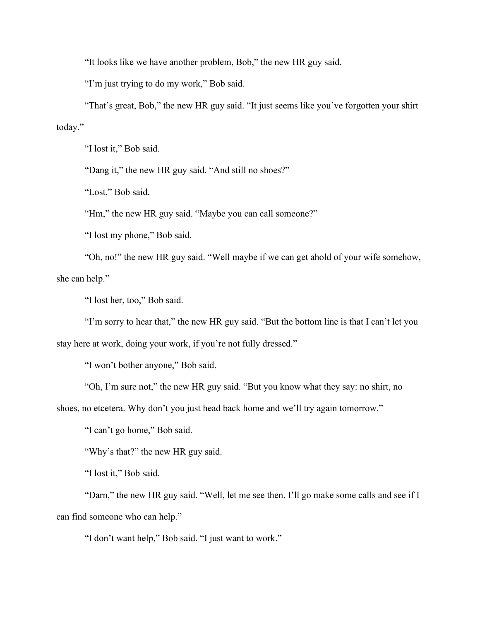"It looks like we have another problem, Bob," the new HR guy said.

"I'm just trying to do my work," Bob said.

"That's great, Bob," the new HR guy said. "It just seems like you've forgotten your shirt today."

"I lost it," Bob said.

"Dang it," the new HR guy said. "And still no shoes?"

"Lost," Bob said.

"Hm," the new HR guy said. "Maybe you can call someone?"

"I lost my phone," Bob said.

"Oh, no!" the new HR guy said. "Well maybe if we can get ahold of your wife somehow, she can help."

"I lost her, too," Bob said.

"I'm sorry to hear that," the new HR guy said. "But the bottom line is that I can't let you stay here at work, doing your work, if you're not fully dressed."

"I won't bother anyone," Bob said.

"Oh, I'm sure not," the new HR guy said. "But you know what they say: no shirt, no

shoes, no etcetera. Why don't you just head back home and we'll try again tomorrow."

"I can't go home," Bob said.

"Why's that?" the new HR guy said.

"I lost it," Bob said.

"Darn," the new HR guy said. "Well, let me see then. I'll go make some calls and see if I can find someone who can help."

"I don't want help," Bob said. "I just want to work."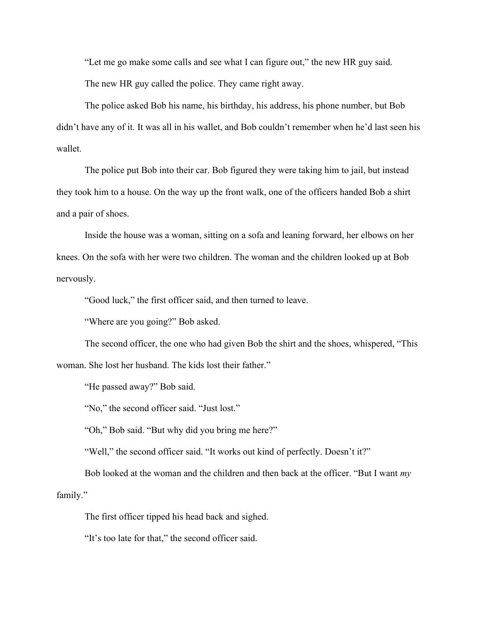"Let me go make some calls and see what I can figure out," the new HR guy said.

The new HR guy called the police. They came right away.

The police asked Bob his name, his birthday, his address, his phone number, but Bob didn't have any of it. It was all in his wallet, and Bob couldn't remember when he'd last seen his wallet.

The police put Bob into their car. Bob figured they were taking him to jail, but instead they took him to a house. On the way up the front walk, one of the officers handed Bob a shirt and a pair of shoes.

Inside the house was a woman, sitting on a sofa and leaning forward, her elbows on her knees. On the sofa with her were two children. The woman and the children looked up at Bob nervously.

"Good luck," the first officer said, and then turned to leave.

"Where are you going?" Bob asked.

The second officer, the one who had given Bob the shirt and the shoes, whispered, "This woman. She lost her husband. The kids lost their father."

"He passed away?" Bob said.

"No," the second officer said. "Just lost."

"Oh," Bob said. "But why did you bring me here?"

"Well," the second officer said. "It works out kind of perfectly. Doesn't it?"

Bob looked at the woman and the children and then back at the officer. "But I want *my* family."

The first officer tipped his head back and sighed.

"It's too late for that," the second officer said.